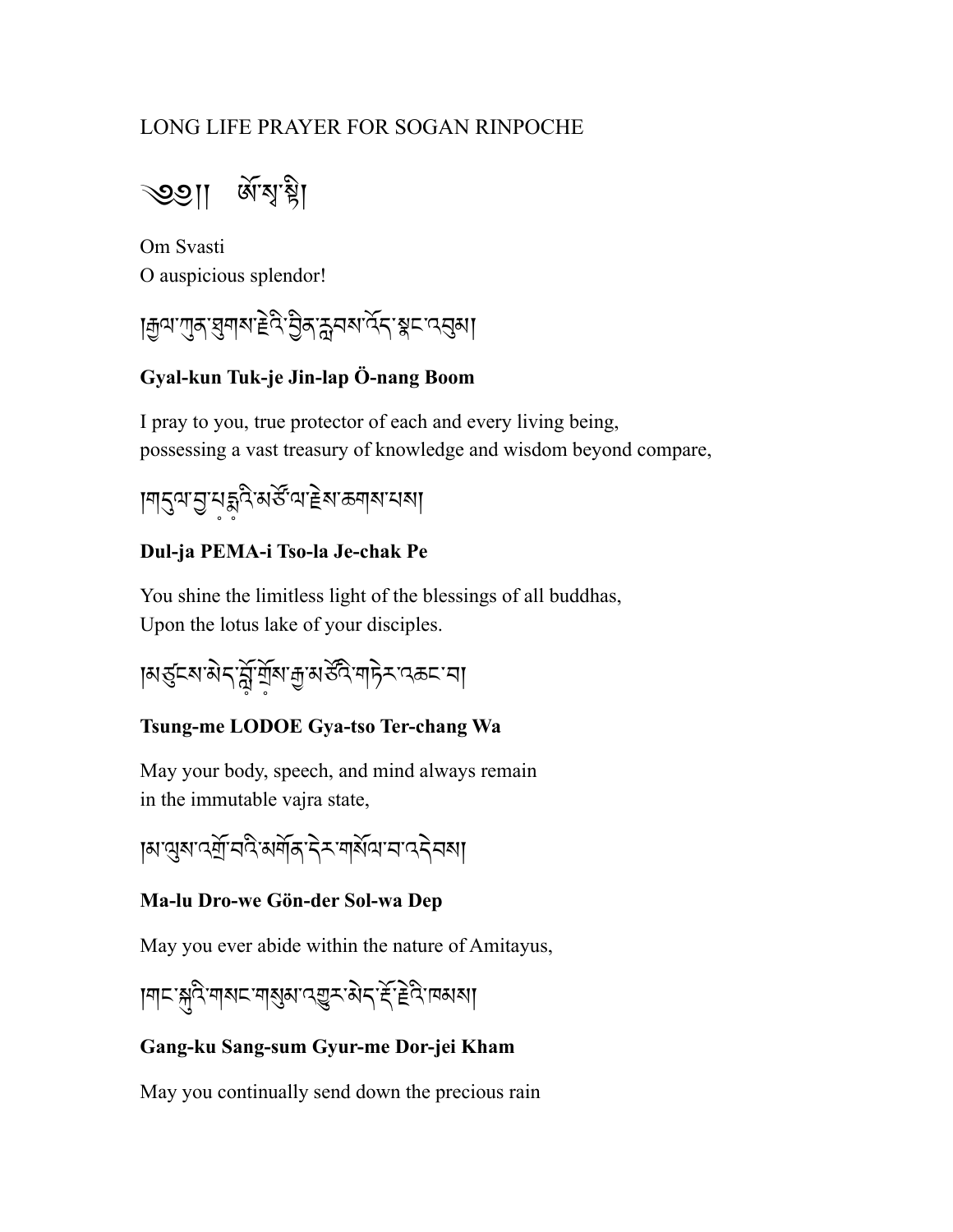# LONG LIFE PRAYER FOR SOGAN RINPOCHE

্ঠিন। জুর্শ্বী

Om Svasti O auspicious splendor!

।मुत्राणुकाञ्चलाको हेविः क्रेयबादेनाञ्चल प्राप्तुबा

# **Gyal-kun Tuk-je Jin-lap Ö-nang Boom**

I pray to you, true protector of each and every living being, possessing a vast treasury of knowledge and wisdom beyond compare,

།གdལ་b་པ༷d༷འི་མཙA་ལ་rེས་ཆགས་པས།

# **Dul-ja PEMA-i Tso-la Je-chak Pe**

You shine the limitless light of the blessings of all buddhas, Upon the lotus lake of your disciples.

|মন্ত্ৰহেমন্ত্ৰই মুৰ্শ্ৰমন্ত্ৰই স্পিতৃ সংক্ৰহে আ

#### **Tsung-me LODOE Gya-tso Ter-chang Wa**

May your body, speech, and mind always remain in the immutable vajra state,

|ॺ'থ্ৰুৰ'বৰ্শ্ৰ'নব মৰ্শৰ 'ব মলাৰ্থিৰ' ন'ব বৰা

#### **Ma-lu Dro-we Gön-der Sol-wa Dep**

May you ever abide within the nature of Amitayus,

།གང་sའི་གསང་གsམ་འgར་མེད་rO་rPའི་ཁམས།

#### **Gang-ku Sang-sum Gyur-me Dor-jei Kham**

May you continually send down the precious rain